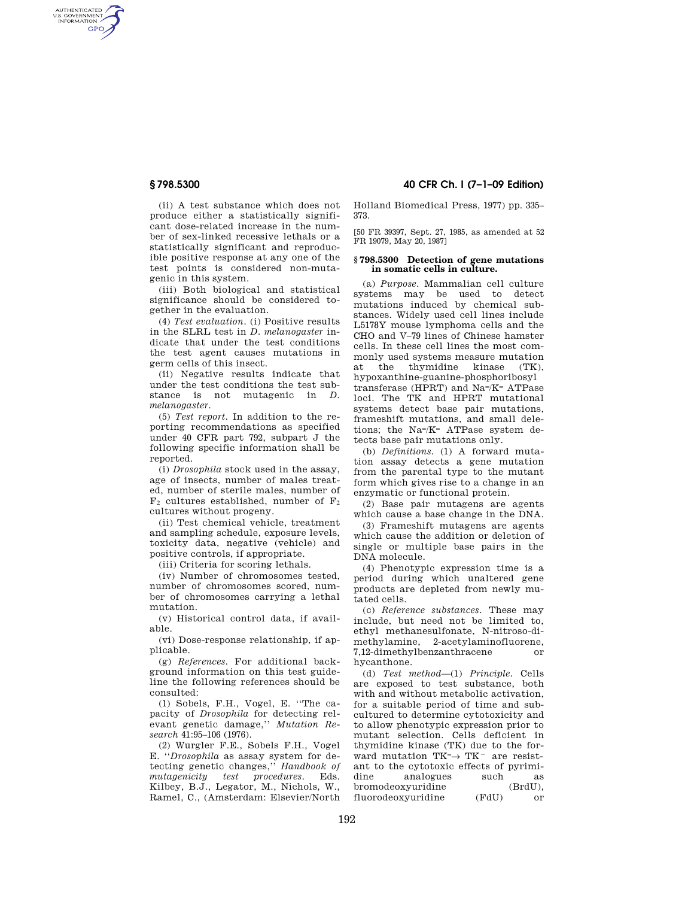AUTHENTICATED<br>U.S. GOVERNMENT<br>INFORMATION GPO

> (ii) A test substance which does not produce either a statistically significant dose-related increase in the number of sex-linked recessive lethals or a statistically significant and reproducible positive response at any one of the test points is considered non-mutagenic in this system.

> (iii) Both biological and statistical significance should be considered together in the evaluation.

> (4) *Test evaluation.* (i) Positive results in the SLRL test in *D. melanogaster* indicate that under the test conditions the test agent causes mutations in germ cells of this insect.

> (ii) Negative results indicate that under the test conditions the test substance is not mutagenic in *D. melanogaster.*

> (5) *Test report.* In addition to the reporting recommendations as specified under 40 CFR part 792, subpart J the following specific information shall be reported.

> (i) *Drosophila* stock used in the assay, age of insects, number of males treated, number of sterile males, number of  $\mathbb{F}_2$  cultures established, number of  $\mathbb{F}_2$ cultures without progeny.

> (ii) Test chemical vehicle, treatment and sampling schedule, exposure levels, toxicity data, negative (vehicle) and positive controls, if appropriate.

(iii) Criteria for scoring lethals.

(iv) Number of chromosomes tested, number of chromosomes scored, number of chromosomes carrying a lethal mutation.

(v) Historical control data, if available.

(vi) Dose-response relationship, if applicable.

(g) *References.* For additional background information on this test guideline the following references should be consulted:

(1) Sobels, F.H., Vogel, E. ''The capacity of *Drosophila* for detecting relevant genetic damage,'' *Mutation Research* 41:95–106 (1976).

(2) Wurgler F.E., Sobels F.H., Vogel E. ''*Drosophila* as assay system for detecting genetic changes,'' *Handbook of mutagenicity test procedures.* Eds. Kilbey, B.J., Legator, M., Nichols, W., Ramel, C., (Amsterdam: Elsevier/North

**§ 798.5300 40 CFR Ch. I (7–1–09 Edition)** 

Holland Biomedical Press, 1977) pp. 335– 373.

[50 FR 39397, Sept. 27, 1985, as amended at 52 FR 19079, May 20, 1987]

### **§ 798.5300 Detection of gene mutations in somatic cells in culture.**

(a) *Purpose.* Mammalian cell culture systems may be used to detect mutations induced by chemical substances. Widely used cell lines include L5178Y mouse lymphoma cells and the CHO and V–79 lines of Chinese hamster cells. In these cell lines the most commonly used systems measure mutation at the thymidine kinase (TK), hypoxanthine-guanine-phosphoribosyl transferase (HPRT) and Na=/K= ATPase loci. The TK and HPRT mutational systems detect base pair mutations, frameshift mutations, and small deletions; the Na=/K= ATPase system detects base pair mutations only.

(b) *Definitions.* (1) A forward mutation assay detects a gene mutation from the parental type to the mutant form which gives rise to a change in an enzymatic or functional protein.

(2) Base pair mutagens are agents which cause a base change in the DNA.

(3) Frameshift mutagens are agents which cause the addition or deletion of single or multiple base pairs in the DNA molecule.

(4) Phenotypic expression time is a period during which unaltered gene products are depleted from newly mutated cells.

(c) *Reference substances.* These may include, but need not be limited to, ethyl methanesulfonate, N-nitroso-dimethylamine, 2-acetylaminofluorene, 7,12-dimethylbenzanthracene or hycanthone.

(d) *Test method*—(1) *Principle.* Cells are exposed to test substance, both with and without metabolic activation, for a suitable period of time and subcultured to determine cytotoxicity and to allow phenotypic expression prior to mutant selection. Cells deficient in thymidine kinase (TK) due to the forward mutation  $TK = \rightarrow TK^-$  are resistant to the cytotoxic effects of pyrimidine analogues such as bromodeoxyuridine (BrdU),<br>fluorodeoxyuridine (FdU) or fluorodeoxyuridine (FdU) or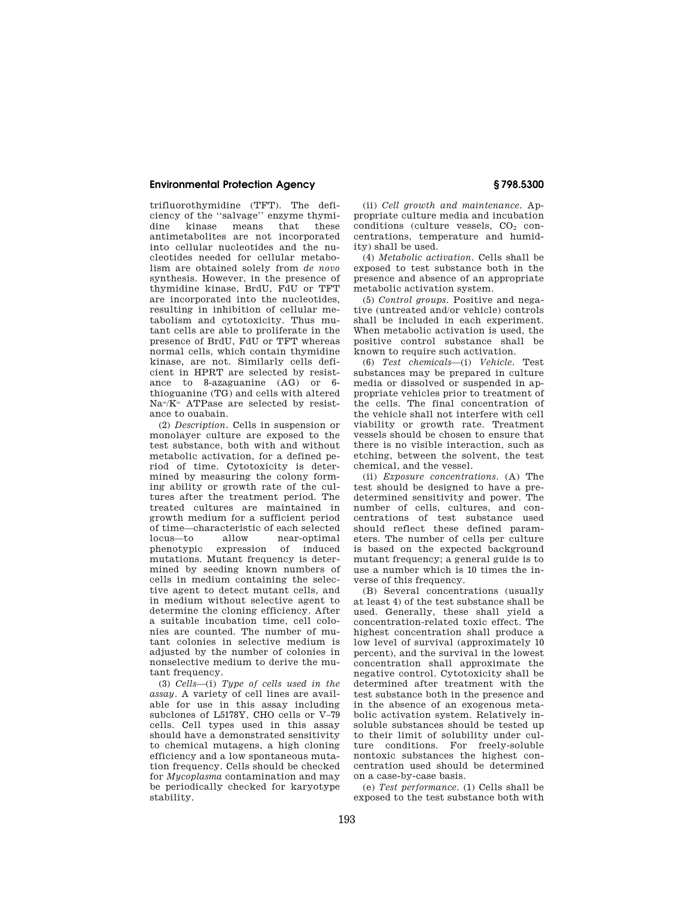# **Environmental Protection Agency § 798.5300**

trifluorothymidine (TFT). The deficiency of the ''salvage'' enzyme thymidine kinase means that these antimetabolites are not incorporated into cellular nucleotides and the nucleotides needed for cellular metabolism are obtained solely from *de novo*  synthesis. However, in the presence of thymidine kinase, BrdU, FdU or TFT are incorporated into the nucleotides, resulting in inhibition of cellular metabolism and cytotoxicity. Thus mutant cells are able to proliferate in the presence of BrdU, FdU or TFT whereas normal cells, which contain thymidine kinase, are not. Similarly cells deficient in HPRT are selected by resistance to 8-azaguanine (AG) or 6 thioguanine (TG) and cells with altered Na=/K= ATPase are selected by resistance to ouabain.

(2) *Description.* Cells in suspension or monolayer culture are exposed to the test substance, both with and without metabolic activation, for a defined period of time. Cytotoxicity is determined by measuring the colony forming ability or growth rate of the cultures after the treatment period. The treated cultures are maintained in growth medium for a sufficient period of time—characteristic of each selected locus—to allow near-optimal phenotypic expression of induced mutations. Mutant frequency is determined by seeding known numbers of cells in medium containing the selective agent to detect mutant cells, and in medium without selective agent to determine the cloning efficiency. After a suitable incubation time, cell colonies are counted. The number of mutant colonies in selective medium is adjusted by the number of colonies in nonselective medium to derive the mutant frequency.

(3) *Cells*—(i) *Type of cells used in the assay.* A variety of cell lines are available for use in this assay including subclones of L5178Y, CHO cells or V–79 cells. Cell types used in this assay should have a demonstrated sensitivity to chemical mutagens, a high cloning efficiency and a low spontaneous mutation frequency. Cells should be checked for *Mycoplasma* contamination and may be periodically checked for karyotype stability.

(ii) *Cell growth and maintenance.* Appropriate culture media and incubation conditions (culture vessels,  $CO<sub>2</sub>$  concentrations, temperature and humidity) shall be used.

(4) *Metabolic activation.* Cells shall be exposed to test substance both in the presence and absence of an appropriate metabolic activation system.

(5) *Control groups.* Positive and negative (untreated and/or vehicle) controls shall be included in each experiment. When metabolic activation is used, the positive control substance shall be known to require such activation.

(6) *Test chemicals*—(i) *Vehicle.* Test substances may be prepared in culture media or dissolved or suspended in appropriate vehicles prior to treatment of the cells. The final concentration of the vehicle shall not interfere with cell viability or growth rate. Treatment vessels should be chosen to ensure that there is no visible interaction, such as etching, between the solvent, the test chemical, and the vessel.

(ii) *Exposure concentrations.* (A) The test should be designed to have a predetermined sensitivity and power. The number of cells, cultures, and concentrations of test substance used should reflect these defined parameters. The number of cells per culture is based on the expected background mutant frequency; a general guide is to use a number which is 10 times the inverse of this frequency.

(B) Several concentrations (usually at least 4) of the test substance shall be used. Generally, these shall yield a concentration-related toxic effect. The highest concentration shall produce a low level of survival (approximately 10 percent), and the survival in the lowest concentration shall approximate the negative control. Cytotoxicity shall be determined after treatment with the test substance both in the presence and in the absence of an exogenous metabolic activation system. Relatively insoluble substances should be tested up to their limit of solubility under culture conditions. For freely-soluble nontoxic substances the highest concentration used should be determined on a case-by-case basis.

(e) *Test performance.* (1) Cells shall be exposed to the test substance both with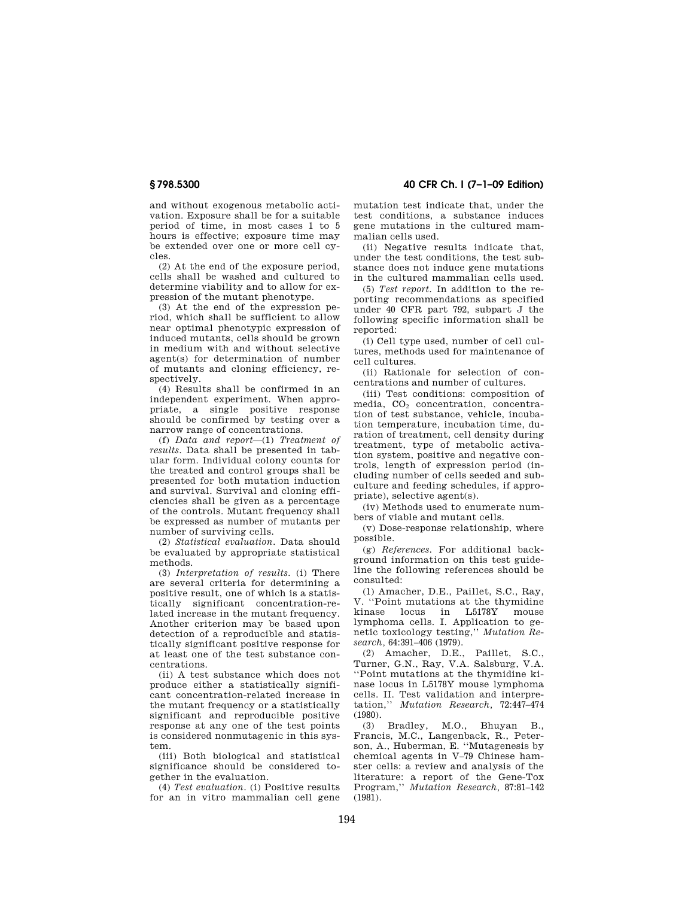and without exogenous metabolic activation. Exposure shall be for a suitable period of time, in most cases 1 to 5 hours is effective; exposure time may be extended over one or more cell cycles.

(2) At the end of the exposure period, cells shall be washed and cultured to determine viability and to allow for expression of the mutant phenotype.

(3) At the end of the expression period, which shall be sufficient to allow near optimal phenotypic expression of induced mutants, cells should be grown in medium with and without selective agent(s) for determination of number of mutants and cloning efficiency, respectively.

(4) Results shall be confirmed in an independent experiment. When appropriate, a single positive response should be confirmed by testing over a narrow range of concentrations.

(f) *Data and report*—(1) *Treatment of results.* Data shall be presented in tabular form. Individual colony counts for the treated and control groups shall be presented for both mutation induction and survival. Survival and cloning efficiencies shall be given as a percentage of the controls. Mutant frequency shall be expressed as number of mutants per number of surviving cells.

(2) *Statistical evaluation.* Data should be evaluated by appropriate statistical methods.

(3) *Interpretation of results.* (i) There are several criteria for determining a positive result, one of which is a statistically significant concentration-related increase in the mutant frequency. Another criterion may be based upon detection of a reproducible and statistically significant positive response for at least one of the test substance concentrations.

(ii) A test substance which does not produce either a statistically significant concentration-related increase in the mutant frequency or a statistically significant and reproducible positive response at any one of the test points is considered nonmutagenic in this system.

(iii) Both biological and statistical significance should be considered together in the evaluation.

(4) *Test evaluation.* (i) Positive results for an in vitro mammalian cell gene

**§ 798.5300 40 CFR Ch. I (7–1–09 Edition)** 

mutation test indicate that, under the test conditions, a substance induces gene mutations in the cultured mammalian cells used.

(ii) Negative results indicate that, under the test conditions, the test substance does not induce gene mutations in the cultured mammalian cells used.

(5) *Test report.* In addition to the reporting recommendations as specified under 40 CFR part 792, subpart J the following specific information shall be reported:

(i) Cell type used, number of cell cultures, methods used for maintenance of cell cultures.

(ii) Rationale for selection of concentrations and number of cultures.

(iii) Test conditions: composition of media, CO<sub>2</sub> concentration, concentration of test substance, vehicle, incubation temperature, incubation time, duration of treatment, cell density during treatment, type of metabolic activation system, positive and negative controls, length of expression period (including number of cells seeded and subculture and feeding schedules, if appropriate), selective agent(s).

(iv) Methods used to enumerate numbers of viable and mutant cells.

(v) Dose-response relationship, where possible.

(g) *References.* For additional background information on this test guideline the following references should be consulted:

(1) Amacher, D.E., Paillet, S.C., Ray, V. ''Point mutations at the thymidine kinase locus in L5178Y mouse lymphoma cells. I. Application to genetic toxicology testing,'' *Mutation Research,* 64:391–406 (1979).

(2) Amacher, D.E., Paillet, S.C., Turner, G.N., Ray, V.A. Salsburg, V.A. ''Point mutations at the thymidine kinase locus in L5178Y mouse lymphoma cells. II. Test validation and interpretation,'' *Mutation Research,* 72:447–474 (1980).

(3) Bradley, M.O., Bhuyan B., Francis, M.C., Langenback, R., Peterson, A., Huberman, E. ''Mutagenesis by chemical agents in V–79 Chinese hamster cells: a review and analysis of the literature: a report of the Gene-Tox Program,'' *Mutation Research,* 87:81–142  $(1981)$ .